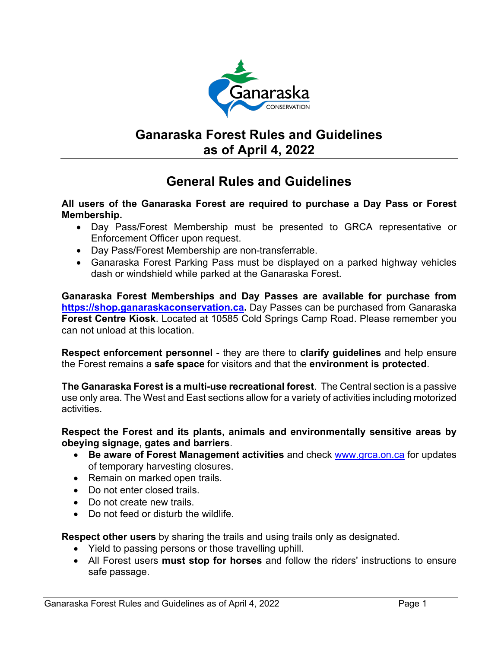

# **Ganaraska Forest Rules and Guidelines as of April 4, 2022**

# **General Rules and Guidelines**

## **All users of the Ganaraska Forest are required to purchase a Day Pass or Forest Membership.**

- Day Pass/Forest Membership must be presented to GRCA representative or Enforcement Officer upon request.
- Day Pass/Forest Membership are non-transferrable.
- Ganaraska Forest Parking Pass must be displayed on a parked highway vehicles dash or windshield while parked at the Ganaraska Forest.

**Ganaraska Forest Memberships and Day Passes are available for purchase from [https://shop.ganaraskaconservation.ca.](https://shop.ganaraskaconservation.ca/)** Day Passes can be purchased from Ganaraska **Forest Centre Kiosk**. Located at 10585 Cold Springs Camp Road. Please remember you can not unload at this location.

**Respect enforcement personnel** - they are there to **clarify guidelines** and help ensure the Forest remains a **safe space** for visitors and that the **environment is protected**.

**The Ganaraska Forest is a multi-use recreational forest**. The Central section is a passive use only area. The West and East sections allow for a variety of activities including motorized activities.

**Respect the Forest and its plants, animals and environmentally sensitive areas by obeying signage, gates and barriers**.

- **Be aware of Forest Management activities** and check [www.grca.on.ca](http://www.grca.on.ca/) for updates of temporary harvesting closures.
- Remain on marked open trails.
- Do not enter closed trails.
- Do not create new trails.
- Do not feed or disturb the wildlife.

**Respect other users** by sharing the trails and using trails only as designated.

- Yield to passing persons or those travelling uphill.
- All Forest users **must stop for horses** and follow the riders' instructions to ensure safe passage.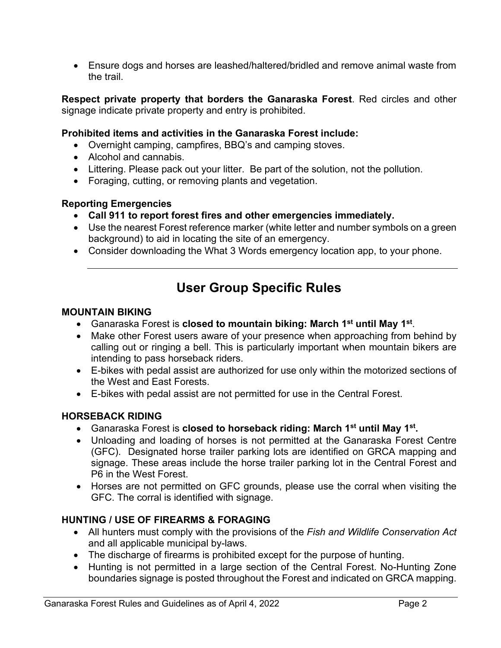• Ensure dogs and horses are leashed/haltered/bridled and remove animal waste from the trail.

**Respect private property that borders the Ganaraska Forest**. Red circles and other signage indicate private property and entry is prohibited.

## **Prohibited items and activities in the Ganaraska Forest include:**

- Overnight camping, campfires, BBQ's and camping stoves.
- Alcohol and cannabis.
- Littering. Please pack out your litter. Be part of the solution, not the pollution.
- Foraging, cutting, or removing plants and vegetation.

### **Reporting Emergencies**

- **Call 911 to report forest fires and other emergencies immediately.**
- Use the nearest Forest reference marker (white letter and number symbols on a green background) to aid in locating the site of an emergency.
- Consider downloading the What 3 Words emergency location app, to your phone.

# **User Group Specific Rules**

#### **MOUNTAIN BIKING**

- Ganaraska Forest is **closed to mountain biking: March 1st until May 1st**.
- Make other Forest users aware of your presence when approaching from behind by calling out or ringing a bell. This is particularly important when mountain bikers are intending to pass horseback riders.
- E-bikes with pedal assist are authorized for use only within the motorized sections of the West and East Forests.
- E-bikes with pedal assist are not permitted for use in the Central Forest.

### **HORSEBACK RIDING**

- Ganaraska Forest is **closed to horseback riding: March 1st until May 1st.**
- Unloading and loading of horses is not permitted at the Ganaraska Forest Centre (GFC). Designated horse trailer parking lots are identified on GRCA mapping and signage. These areas include the horse trailer parking lot in the Central Forest and P6 in the West Forest.
- Horses are not permitted on GFC grounds, please use the corral when visiting the GFC. The corral is identified with signage.

## **HUNTING / USE OF FIREARMS & FORAGING**

- All hunters must comply with the provisions of the *Fish and Wildlife Conservation Act* and all applicable municipal by-laws.
- The discharge of firearms is prohibited except for the purpose of hunting.
- Hunting is not permitted in a large section of the Central Forest. No-Hunting Zone boundaries signage is posted throughout the Forest and indicated on GRCA mapping.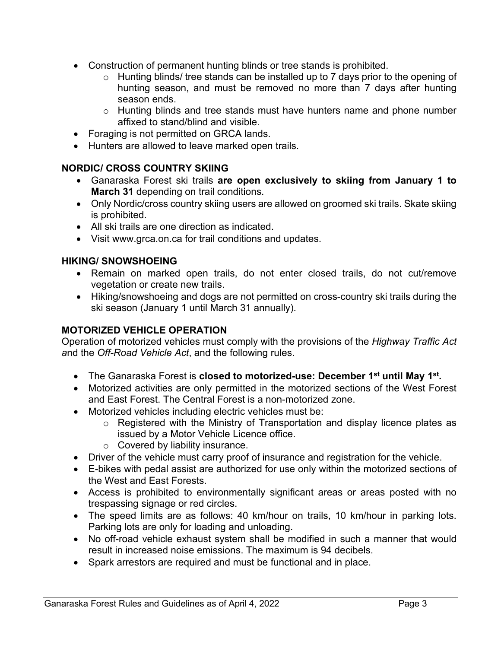- Construction of permanent hunting blinds or tree stands is prohibited.
	- o Hunting blinds/ tree stands can be installed up to 7 days prior to the opening of hunting season, and must be removed no more than 7 days after hunting season ends.
	- o Hunting blinds and tree stands must have hunters name and phone number affixed to stand/blind and visible.
- Foraging is not permitted on GRCA lands.
- Hunters are allowed to leave marked open trails.

# **NORDIC/ CROSS COUNTRY SKIING**

- Ganaraska Forest ski trails **are open exclusively to skiing from January 1 to March 31** depending on trail conditions.
- Only Nordic/cross country skiing users are allowed on groomed ski trails. Skate skiing is prohibited.
- All ski trails are one direction as indicated.
- Visit www.grca.on.ca for trail conditions and updates.

## **HIKING/ SNOWSHOEING**

- Remain on marked open trails, do not enter closed trails, do not cut/remove vegetation or create new trails.
- Hiking/snowshoeing and dogs are not permitted on cross-country ski trails during the ski season (January 1 until March 31 annually).

## **MOTORIZED VEHICLE OPERATION**

Operation of motorized vehicles must comply with the provisions of the *Highway Traffic Act a*nd the *Off-Road Vehicle Act*, and the following rules.

- The Ganaraska Forest is **closed to motorized-use: December 1st until May 1st.**
- Motorized activities are only permitted in the motorized sections of the West Forest and East Forest. The Central Forest is a non-motorized zone.
- Motorized vehicles including electric vehicles must be:
	- o Registered with the Ministry of Transportation and display licence plates as issued by a Motor Vehicle Licence office.
	- o Covered by liability insurance.
- Driver of the vehicle must carry proof of insurance and registration for the vehicle.
- E-bikes with pedal assist are authorized for use only within the motorized sections of the West and East Forests.
- Access is prohibited to environmentally significant areas or areas posted with no trespassing signage or red circles.
- The speed limits are as follows: 40 km/hour on trails, 10 km/hour in parking lots. Parking lots are only for loading and unloading.
- No off-road vehicle exhaust system shall be modified in such a manner that would result in increased noise emissions. The maximum is 94 decibels.
- Spark arrestors are required and must be functional and in place.